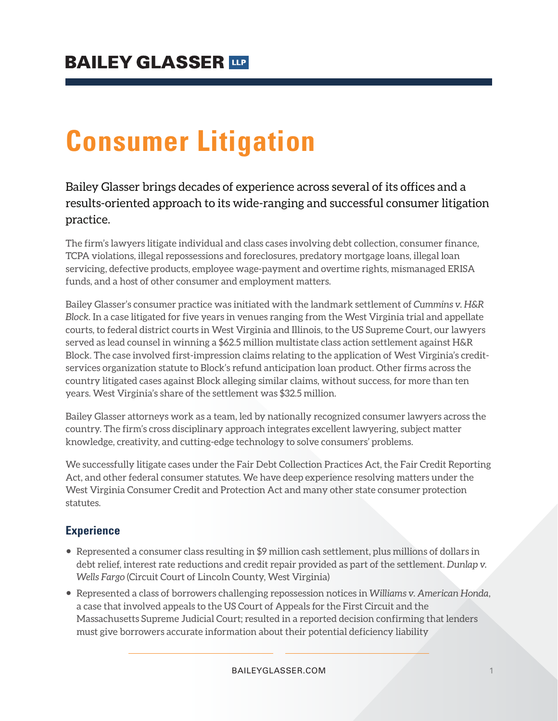## **BAILEY GLASSER TIP**

# **Consumer Litigation**

## Bailey Glasser brings decades of experience across several of its offices and a results-oriented approach to its wide-ranging and successful consumer litigation practice.

The firm's lawyers litigate individual and class cases involving debt collection, consumer finance, TCPA violations, illegal repossessions and foreclosures, predatory mortgage loans, illegal loan servicing, defective products, employee wage-payment and overtime rights, mismanaged ERISA funds, and a host of other consumer and employment matters.

Bailey Glasser's consumer practice was initiated with the landmark settlement of *Cummins v. H&R Block.* In a case litigated for five years in venues ranging from the West Virginia trial and appellate courts, to federal district courts in West Virginia and Illinois, to the US Supreme Court, our lawyers served as lead counsel in winning a \$62.5 million multistate class action settlement against H&R Block. The case involved first-impression claims relating to the application of West Virginia's creditservices organization statute to Block's refund anticipation loan product. Other firms across the country litigated cases against Block alleging similar claims, without success, for more than ten years. West Virginia's share of the settlement was \$32.5 million.

Bailey Glasser attorneys work as a team, led by nationally recognized consumer lawyers across the country. The firm's cross disciplinary approach integrates excellent lawyering, subject matter knowledge, creativity, and cutting-edge technology to solve consumers' problems.

We successfully litigate cases under the Fair Debt Collection Practices Act, the Fair Credit Reporting Act, and other federal consumer statutes. We have deep experience resolving matters under the West Virginia Consumer Credit and Protection Act and many other state consumer protection statutes.

#### **Experience**

- Represented a consumer class resulting in \$9 million cash settlement, plus millions of dollars in debt relief, interest rate reductions and credit repair provided as part of the settlement. *Dunlap v. Wells Fargo* (Circuit Court of Lincoln County, West Virginia)
- Represented a class of borrowers challenging repossession notices in *Williams v. American Honda*, a case that involved appeals to the US Court of Appeals for the First Circuit and the Massachusetts Supreme Judicial Court; resulted in a reported decision confirming that lenders must give borrowers accurate information about their potential deficiency liability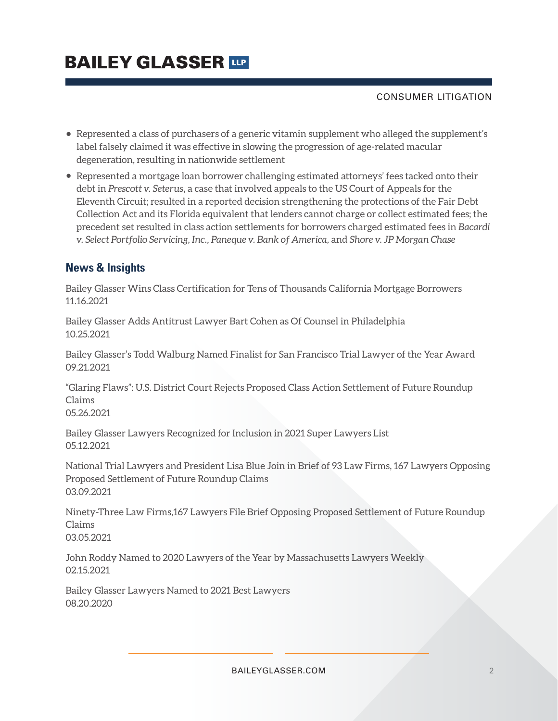# **BAILEY GLASSER TIP**

#### CONSUMER LITIGATION

- Represented a class of purchasers of a generic vitamin supplement who alleged the supplement's label falsely claimed it was effective in slowing the progression of age-related macular degeneration, resulting in nationwide settlement
- Represented a mortgage loan borrower challenging estimated attorneys' fees tacked onto their debt in *Prescott v. Seterus*, a case that involved appeals to the US Court of Appeals for the Eleventh Circuit; resulted in a reported decision strengthening the protections of the Fair Debt Collection Act and its Florida equivalent that lenders cannot charge or collect estimated fees; the precedent set resulted in class action settlements for borrowers charged estimated fees in *Bacardi v. Select Portfolio Servicing, Inc., Paneque v. Bank of America,* and *Shore v. JP Morgan Chase*

## **News & Insights**

Bailey Glasser Wins Class Certification for Tens of Thousands California Mortgage Borrowers 11.16.2021

Bailey Glasser Adds Antitrust Lawyer Bart Cohen as Of Counsel in Philadelphia 10.25.2021

Bailey Glasser's Todd Walburg Named Finalist for San Francisco Trial Lawyer of the Year Award 09.21.2021

"Glaring Flaws": U.S. District Court Rejects Proposed Class Action Settlement of Future Roundup Claims

05.26.2021

Bailey Glasser Lawyers Recognized for Inclusion in 2021 Super Lawyers List 05.12.2021

National Trial Lawyers and President Lisa Blue Join in Brief of 93 Law Firms, 167 Lawyers Opposing Proposed Settlement of Future Roundup Claims 03.09.2021

Ninety-Three Law Firms,167 Lawyers File Brief Opposing Proposed Settlement of Future Roundup Claims 03.05.2021

John Roddy Named to 2020 Lawyers of the Year by Massachusetts Lawyers Weekly 02.15.2021

Bailey Glasser Lawyers Named to 2021 Best Lawyers 08.20.2020